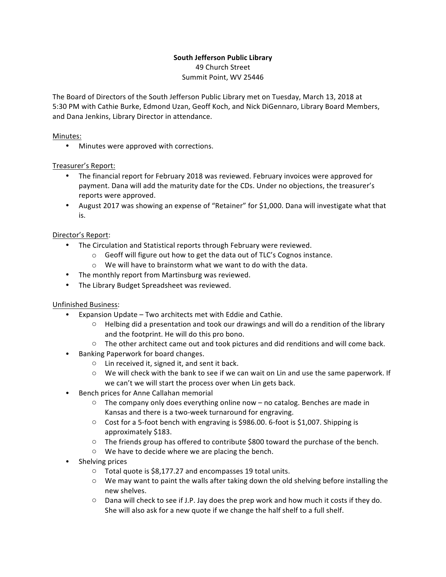# **South Jefferson Public Library**

49 Church Street Summit Point, WV 25446

The Board of Directors of the South Jefferson Public Library met on Tuesday, March 13, 2018 at 5:30 PM with Cathie Burke, Edmond Uzan, Geoff Koch, and Nick DiGennaro, Library Board Members, and Dana Jenkins, Library Director in attendance.

#### Minutes:

• Minutes were approved with corrections.

### Treasurer's Report:

- The financial report for February 2018 was reviewed. February invoices were approved for payment. Dana will add the maturity date for the CDs. Under no objections, the treasurer's reports were approved.
- August 2017 was showing an expense of "Retainer" for \$1,000. Dana will investigate what that is.

### Director's Report:

- The Circulation and Statistical reports through February were reviewed.
	- $\circ$  Geoff will figure out how to get the data out of TLC's Cognos instance.
	- $\circ$  We will have to brainstorm what we want to do with the data.
- The monthly report from Martinsburg was reviewed.
- The Library Budget Spreadsheet was reviewed.

## Unfinished Business:

- Expansion Update  $-$  Two architects met with Eddie and Cathie.
	- $\circ$  Helbing did a presentation and took our drawings and will do a rendition of the library and the footprint. He will do this pro bono.
	- $\circ$  The other architect came out and took pictures and did renditions and will come back.
- Banking Paperwork for board changes.
	- $\circ$  Lin received it, signed it, and sent it back.
	- $\circ$  We will check with the bank to see if we can wait on Lin and use the same paperwork. If we can't we will start the process over when Lin gets back.
- Bench prices for Anne Callahan memorial
	- $\circ$  The company only does everything online now no catalog. Benches are made in Kansas and there is a two-week turnaround for engraving.
	- $\circ$  Cost for a 5-foot bench with engraving is \$986.00. 6-foot is \$1,007. Shipping is approximately \$183.
	- $\circ$  The friends group has offered to contribute \$800 toward the purchase of the bench.
	- $\circ$  We have to decide where we are placing the bench.
- Shelving prices
	- $\circ$  Total quote is \$8,177.27 and encompasses 19 total units.
	- $\circ$  We may want to paint the walls after taking down the old shelving before installing the new shelves.
	- $\circ$  Dana will check to see if J.P. Jay does the prep work and how much it costs if they do. She will also ask for a new quote if we change the half shelf to a full shelf.